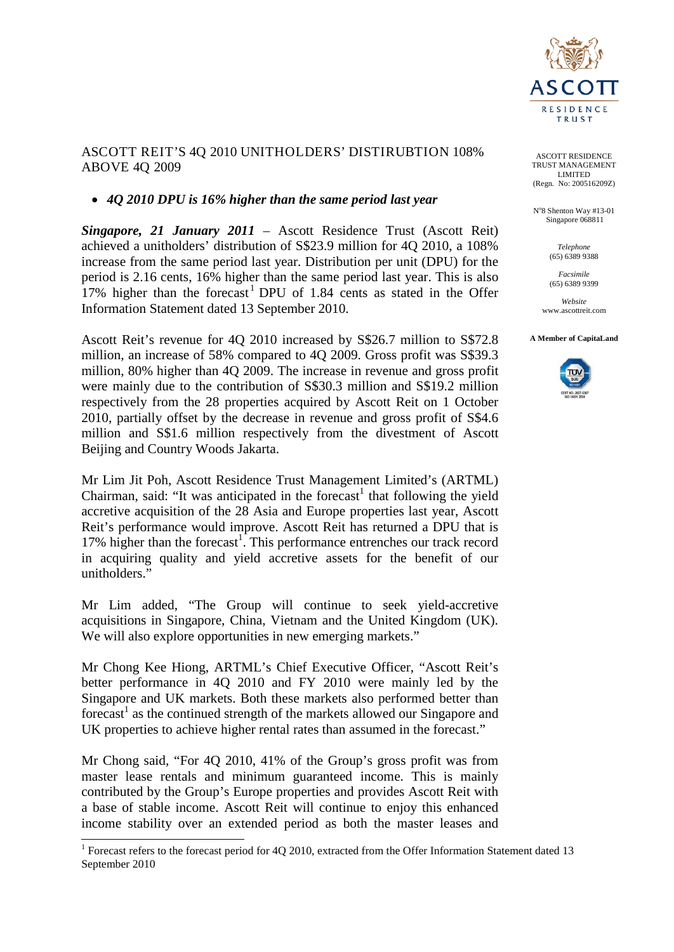

### ASCOTT REIT'S 4Q 2010 UNITHOLDERS' DISTIRUBTION 108% ABOVE 4Q 2009

## • *4Q 2010 DPU is 16% higher than the same period last year*

*Singapore, 21 January 2011* – Ascott Residence Trust (Ascott Reit) achieved a unitholders' distribution of S\$23.9 million for 4Q 2010, a 108% increase from the same period last year. Distribution per unit (DPU) for the period is 2.16 cents, 16% higher than the same period last year. This is also [1](#page-0-0)7% higher than the forecast<sup>1</sup> DPU of 1.84 cents as stated in the Offer Information Statement dated 13 September 2010.

Ascott Reit's revenue for 4Q 2010 increased by S\$26.7 million to S\$72.8 million, an increase of 58% compared to 4Q 2009. Gross profit was S\$39.3 million, 80% higher than 4Q 2009. The increase in revenue and gross profit were mainly due to the contribution of S\$30.3 million and S\$19.2 million respectively from the 28 properties acquired by Ascott Reit on 1 October 2010, partially offset by the decrease in revenue and gross profit of S\$4.6 million and S\$1.6 million respectively from the divestment of Ascott Beijing and Country Woods Jakarta.

Mr Lim Jit Poh, Ascott Residence Trust Management Limited's (ARTML) Chairman, said: "It was anticipated in the forecast<sup>1</sup> that following the yield accretive acquisition of the 28 Asia and Europe properties last year, Ascott Reit's performance would improve. Ascott Reit has returned a DPU that is 17% higher than the forecast<sup>1</sup>. This performance entrenches our track record in acquiring quality and yield accretive assets for the benefit of our unitholders."

Mr Lim added, "The Group will continue to seek yield-accretive acquisitions in Singapore, China, Vietnam and the United Kingdom (UK). We will also explore opportunities in new emerging markets."

Mr Chong Kee Hiong, ARTML's Chief Executive Officer, "Ascott Reit's better performance in 4Q 2010 and FY 2010 were mainly led by the Singapore and UK markets. Both these markets also performed better than forecast<sup>1</sup> as the continued strength of the markets allowed our Singapore and UK properties to achieve higher rental rates than assumed in the forecast."

Mr Chong said, "For 4Q 2010, 41% of the Group's gross profit was from master lease rentals and minimum guaranteed income. This is mainly contributed by the Group's Europe properties and provides Ascott Reit with a base of stable income. Ascott Reit will continue to enjoy this enhanced income stability over an extended period as both the master leases and

ASCOTT RESIDENCE TRUST MANAGEMENT LIMITED (Regn. No: 200516209Z)

N°8 Shenton Way #13-01 Singapore 068811

> *Telephone* (65) 6389 9388

*Facsimile* (65) 6389 9399

*Website* www.ascottreit.com

**A Member of CapitaLand** 



<span id="page-0-0"></span><sup>&</sup>lt;sup>1</sup> Forecast refers to the forecast period for 4Q 2010, extracted from the Offer Information Statement dated 13 September 2010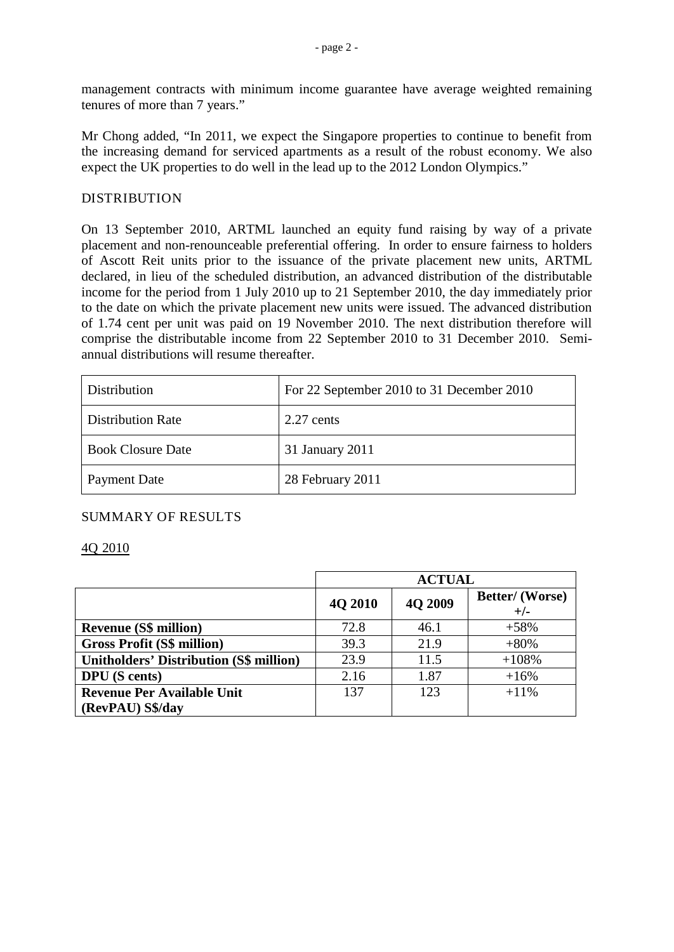management contracts with minimum income guarantee have average weighted remaining tenures of more than 7 years."

Mr Chong added, "In 2011, we expect the Singapore properties to continue to benefit from the increasing demand for serviced apartments as a result of the robust economy. We also expect the UK properties to do well in the lead up to the 2012 London Olympics."

### DISTRIBUTION

On 13 September 2010, ARTML launched an equity fund raising by way of a private placement and non-renounceable preferential offering. In order to ensure fairness to holders of Ascott Reit units prior to the issuance of the private placement new units, ARTML declared, in lieu of the scheduled distribution, an advanced distribution of the distributable income for the period from 1 July 2010 up to 21 September 2010, the day immediately prior to the date on which the private placement new units were issued. The advanced distribution of 1.74 cent per unit was paid on 19 November 2010. The next distribution therefore will comprise the distributable income from 22 September 2010 to 31 December 2010. Semiannual distributions will resume thereafter.

| Distribution             | For 22 September 2010 to 31 December 2010 |
|--------------------------|-------------------------------------------|
| <b>Distribution Rate</b> | $2.27$ cents                              |
| <b>Book Closure Date</b> | 31 January 2011                           |
| <b>Payment Date</b>      | 28 February 2011                          |

# SUMMARY OF RESULTS

### 4Q 2010

|                                                | <b>ACTUAL</b> |         |                                 |
|------------------------------------------------|---------------|---------|---------------------------------|
|                                                | 4Q 2010       | 4Q 2009 | <b>Better/</b> (Worse)<br>$+/-$ |
| <b>Revenue (S\$ million)</b>                   | 72.8          | 46.1    | $+58%$                          |
| <b>Gross Profit (S\$ million)</b>              | 39.3          | 21.9    | $+80%$                          |
| <b>Unitholders' Distribution (S\$ million)</b> | 23.9          | 11.5    | $+108%$                         |
| <b>DPU</b> (S cents)                           | 2.16          | 1.87    | $+16%$                          |
| <b>Revenue Per Available Unit</b>              | 137           | 123     | $+11%$                          |
| (RevPAU) S\$/day                               |               |         |                                 |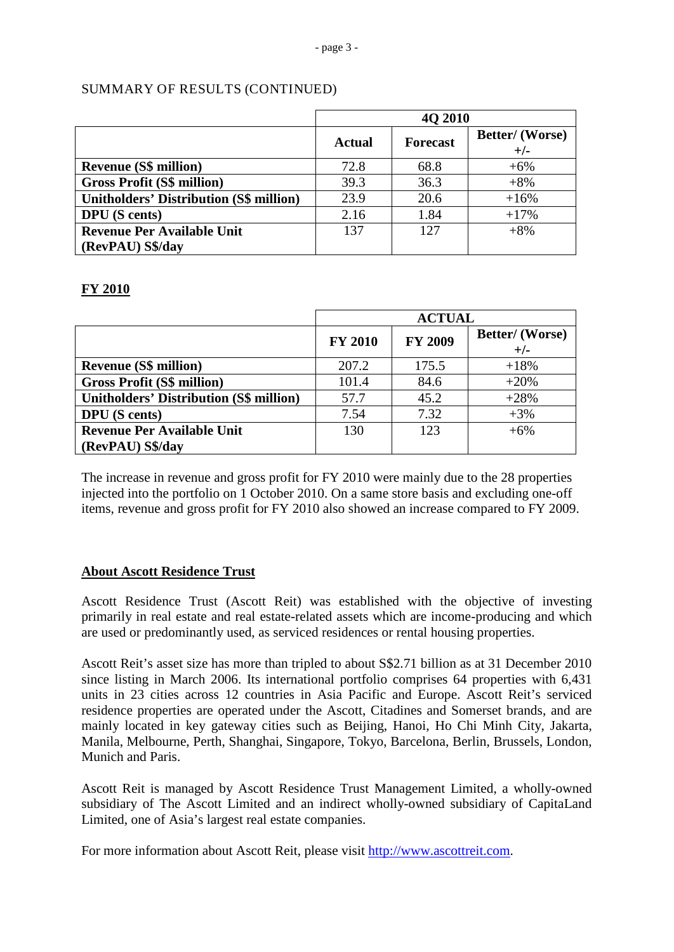|                                                | <b>40 2010</b> |                 |                                 |
|------------------------------------------------|----------------|-----------------|---------------------------------|
|                                                | <b>Actual</b>  | <b>Forecast</b> | <b>Better/</b> (Worse)<br>$+/-$ |
| <b>Revenue (S\$ million)</b>                   | 72.8           | 68.8            | $+6%$                           |
| <b>Gross Profit (S\$ million)</b>              | 39.3           | 36.3            | $+8%$                           |
| <b>Unitholders' Distribution (S\$ million)</b> | 23.9           | 20.6            | $+16%$                          |
| <b>DPU</b> (S cents)                           | 2.16           | 1.84            | $+17%$                          |
| <b>Revenue Per Available Unit</b>              | 137            | 12.7            | $+8%$                           |
| (RevPAU) S\$/day                               |                |                 |                                 |

# SUMMARY OF RESULTS (CONTINUED)

# **FY 2010**

|                                                | <b>ACTUAL</b>  |                |                          |
|------------------------------------------------|----------------|----------------|--------------------------|
|                                                | <b>FY 2010</b> | <b>FY 2009</b> | Better/ (Worse)<br>$+/-$ |
| <b>Revenue (S\$ million)</b>                   | 207.2          | 175.5          | $+18%$                   |
| <b>Gross Profit (S\$ million)</b>              | 101.4          | 84.6           | $+20%$                   |
| <b>Unitholders' Distribution (S\$ million)</b> | 57.7           | 45.2           | $+28%$                   |
| <b>DPU</b> (S cents)                           | 7.54           | 7.32           | $+3%$                    |
| <b>Revenue Per Available Unit</b>              | 130            | 123            | $+6%$                    |
| (RevPAU) S\$/day                               |                |                |                          |

The increase in revenue and gross profit for FY 2010 were mainly due to the 28 properties injected into the portfolio on 1 October 2010. On a same store basis and excluding one-off items, revenue and gross profit for FY 2010 also showed an increase compared to FY 2009.

# **About Ascott Residence Trust**

Ascott Residence Trust (Ascott Reit) was established with the objective of investing primarily in real estate and real estate-related assets which are income-producing and which are used or predominantly used, as serviced residences or rental housing properties.

Ascott Reit's asset size has more than tripled to about S\$2.71 billion as at 31 December 2010 since listing in March 2006. Its international portfolio comprises 64 properties with 6,431 units in 23 cities across 12 countries in Asia Pacific and Europe. Ascott Reit's serviced residence properties are operated under the Ascott, Citadines and Somerset brands, and are mainly located in key gateway cities such as Beijing, Hanoi, Ho Chi Minh City, Jakarta, Manila, Melbourne, Perth, Shanghai, Singapore, Tokyo, Barcelona, Berlin, Brussels, London, Munich and Paris.

Ascott Reit is managed by Ascott Residence Trust Management Limited, a wholly-owned subsidiary of The Ascott Limited and an indirect wholly-owned subsidiary of CapitaLand Limited, one of Asia's largest real estate companies.

For more information about Ascott Reit, please visit [http://www.ascottreit.com.](http://www.ascottreit.com/)